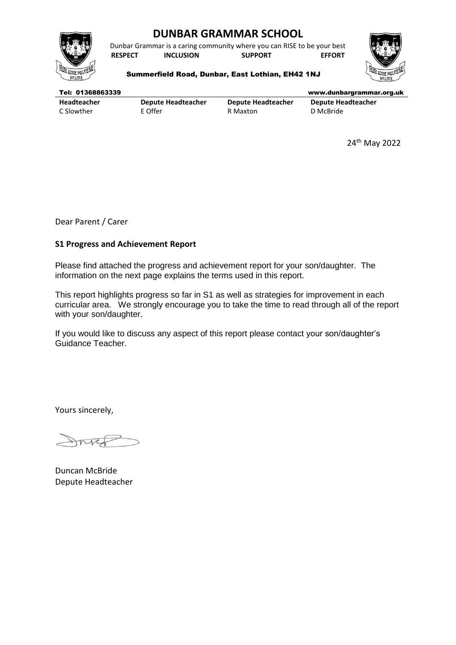

# **DUNBAR GRAMMAR SCHOOL**

Dunbar Grammar is a caring community where you can RISE to be your best **RESPECT INCLUSION SUPPORT EFFORT**



### Summerfield Road, Dunbar, East Lothian, EH42 1NJ

| Tel: 01368863339 |                           |                           | www.dunbargrammar.org.uk  |
|------------------|---------------------------|---------------------------|---------------------------|
| Headteacher      | <b>Depute Headteacher</b> | <b>Depute Headteacher</b> | <b>Depute Headteacher</b> |
| C Slowther       | E Offer                   | R Maxton                  | D McBride                 |

24th May 2022

Dear Parent / Carer

# **S1 Progress and Achievement Report**

Please find attached the progress and achievement report for your son/daughter. The information on the next page explains the terms used in this report.

This report highlights progress so far in S1 as well as strategies for improvement in each curricular area. We strongly encourage you to take the time to read through all of the report with your son/daughter.

If you would like to discuss any aspect of this report please contact your son/daughter's Guidance Teacher.

Yours sincerely,

nico

Duncan McBride Depute Headteacher